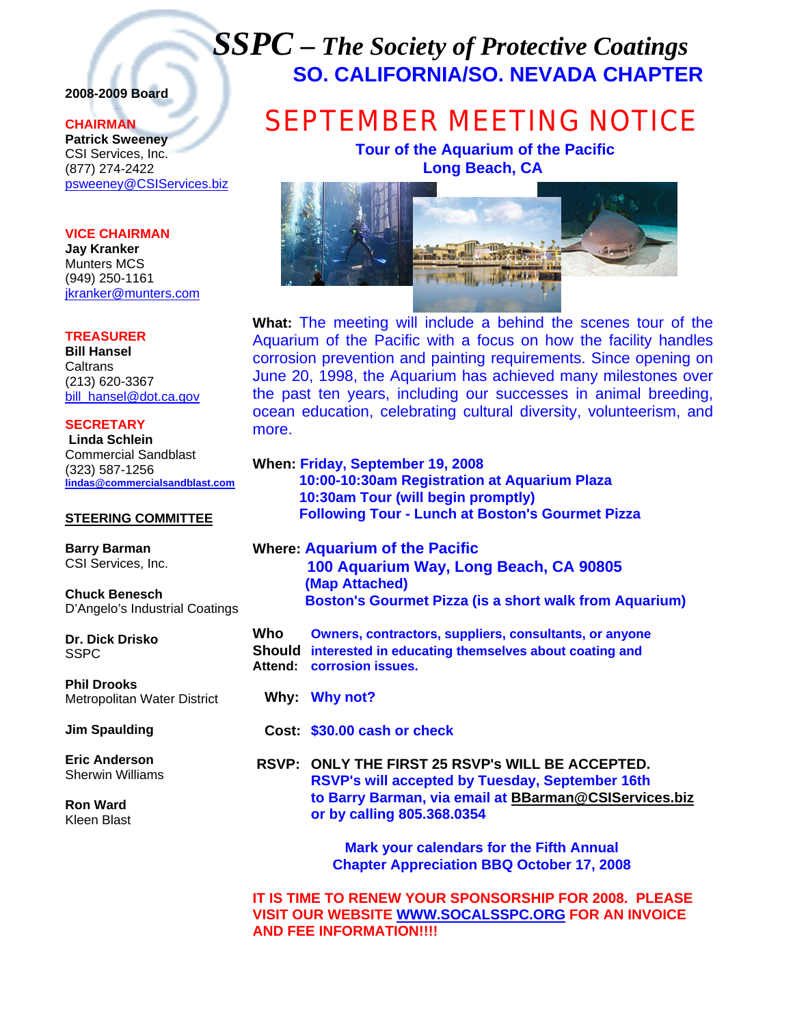## *SSPC – The Society of Protective Coatings* **SO. CALIFORNIA/SO. NEVADA CHAPTER**

### **2008-2009 Board**

#### **CHAIRMAN**

**Patrick Sweeney** CSI Services, Inc. (877) 274-2422 psweeney@CSIServices.biz

#### **VICE CHAIRMAN**

**Jay Kranker** Munters MCS (949) 250-1161 jkranker@munters.com

#### **TREASURER**

**Bill Hansel Caltrans** (213) 620-3367 bill\_hansel@dot.ca.gov

**SECRETARY Linda Schlein** Commercial Sandblast (323) 587-1256 **lindas@commercialsandblast.com**

#### **STEERING COMMITTEE**

**Barry Barman**  CSI Services, Inc.

**Chuck Benesch**  D'Angelo's Industrial Coatings

**Dr. Dick Drisko SSPC** 

**Phil Drooks**  Metropolitan Water District

**Jim Spaulding** 

**Eric Anderson**  Sherwin Williams

**Ron Ward**  Kleen Blast

# SEPTEMBER MEETING NOTICE

 **Tour of the Aquarium of the Pacific Long Beach, CA** 



**What:** The meeting will include a behind the scenes tour of the Aquarium of the Pacific with a focus on how the facility handles corrosion prevention and painting requirements. Since opening on June 20, 1998, the Aquarium has achieved many milestones over the past ten years, including our successes in animal breeding, ocean education, celebrating cultural diversity, volunteerism, and more.

|     | When: Friday, September 19, 2008<br>10:00-10:30am Registration at Aquarium Plaza<br>10:30am Tour (will begin promptly)<br><b>Following Tour - Lunch at Boston's Gourmet Pizza</b> |
|-----|-----------------------------------------------------------------------------------------------------------------------------------------------------------------------------------|
|     | <b>Where: Aquarium of the Pacific</b><br>100 Aquarium Way, Long Beach, CA 90805<br>(Map Attached)<br><b>Boston's Gourmet Pizza (is a short walk from Aquarium)</b>                |
| Who | <b>Owners, contractors, suppliers, consultants, or anyone</b><br>Should interested in educating themselves about coating and<br>Attend: corrosion issues.                         |
|     | Why: Why not?                                                                                                                                                                     |

 **Cost: \$30.00 cash or check** 

 **RSVP: ONLY THE FIRST 25 RSVP's WILL BE ACCEPTED. RSVP's will accepted by Tuesday, September 16th to Barry Barman, via email at BBarman@CSIServices.biz or by calling 805.368.0354** 

> **Mark your calendars for the Fifth Annual Chapter Appreciation BBQ October 17, 2008**

**IT IS TIME TO RENEW YOUR SPONSORSHIP FOR 2008. PLEASE VISIT OUR WEBSITE WWW.SOCALSSPC.ORG FOR AN INVOICE AND FEE INFORMATION!!!!**